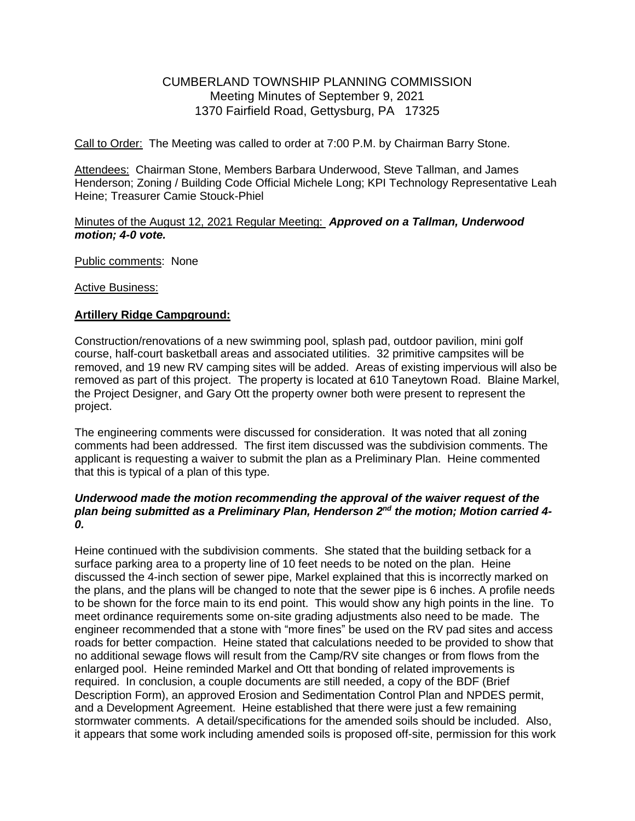# CUMBERLAND TOWNSHIP PLANNING COMMISSION Meeting Minutes of September 9, 2021 1370 Fairfield Road, Gettysburg, PA 17325

Call to Order: The Meeting was called to order at 7:00 P.M. by Chairman Barry Stone.

Attendees: Chairman Stone, Members Barbara Underwood, Steve Tallman, and James Henderson; Zoning / Building Code Official Michele Long; KPI Technology Representative Leah Heine; Treasurer Camie Stouck-Phiel

#### Minutes of the August 12, 2021 Regular Meeting: *Approved on a Tallman, Underwood motion; 4-0 vote.*

Public comments: None

Active Business:

### **Artillery Ridge Campground:**

Construction/renovations of a new swimming pool, splash pad, outdoor pavilion, mini golf course, half-court basketball areas and associated utilities. 32 primitive campsites will be removed, and 19 new RV camping sites will be added. Areas of existing impervious will also be removed as part of this project. The property is located at 610 Taneytown Road. Blaine Markel, the Project Designer, and Gary Ott the property owner both were present to represent the project.

The engineering comments were discussed for consideration. It was noted that all zoning comments had been addressed. The first item discussed was the subdivision comments. The applicant is requesting a waiver to submit the plan as a Preliminary Plan. Heine commented that this is typical of a plan of this type.

### *Underwood made the motion recommending the approval of the waiver request of the*  plan being submitted as a Preliminary Plan, Henderson 2<sup>nd</sup> the motion; Motion carried 4-*0.*

Heine continued with the subdivision comments. She stated that the building setback for a surface parking area to a property line of 10 feet needs to be noted on the plan. Heine discussed the 4-inch section of sewer pipe, Markel explained that this is incorrectly marked on the plans, and the plans will be changed to note that the sewer pipe is 6 inches. A profile needs to be shown for the force main to its end point. This would show any high points in the line. To meet ordinance requirements some on-site grading adjustments also need to be made. The engineer recommended that a stone with "more fines" be used on the RV pad sites and access roads for better compaction. Heine stated that calculations needed to be provided to show that no additional sewage flows will result from the Camp/RV site changes or from flows from the enlarged pool. Heine reminded Markel and Ott that bonding of related improvements is required. In conclusion, a couple documents are still needed, a copy of the BDF (Brief Description Form), an approved Erosion and Sedimentation Control Plan and NPDES permit, and a Development Agreement. Heine established that there were just a few remaining stormwater comments. A detail/specifications for the amended soils should be included. Also, it appears that some work including amended soils is proposed off-site, permission for this work